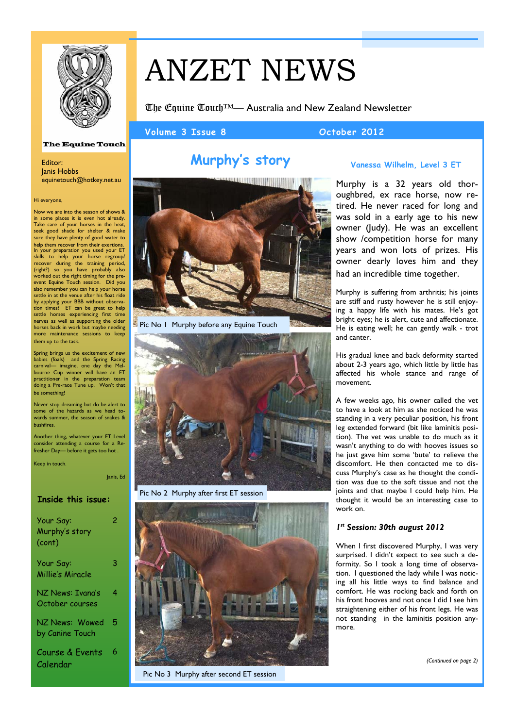

# ANZET NEWS

The Equine Touch™— Australia and New Zealand Newsletter

Volume 3 Issue 8 **October 2012** 

### **The Equine Touch**

Editor: Janis Hobbs<br>equinetouch@hotkey.net.au

### Hi everyone,

Now we are into the season of shows & some places it is even hot already. Take care of your horses in the heat, seek good shade for shelter & make sure they have plenty of good water to help them recover from their exertions. In your preparation you used your ET skills to help your horse regroup/ recover during the training period, (right?) so you have probably also worked out the right timing for the preevent Equine Touch session. Did you also remember you can help your horse settle in at the venue after his float ride by applying your BBB without observa-tion times? ET can be great to help settle horses experiencing first time nerves as well as supporting the older horses back in work but maybe needing more maintenance sessions to keep them up to the task.

Spring brings us the excitement of new babies (foals) and the Spring Racing carnival— imagine, one day the Melbourne Cup winner will have an ET practitioner in the preparation team doing a Pre-race Tune up. Won't that be something!

Never stop dreaming but do be alert to some of the hazards as we head towards summer, the season of snakes & bushfires.

Another thing, whatever your ET Level consider attending a course for a Refresher Day— before it gets too hot .

Keep in touch.

Janis, Ed

### **Inside this issue:**

| Your Say:<br>Murphy's story<br>(cont) | 2 |
|---------------------------------------|---|
| Your Say:<br>Millie's Miracle         | 3 |
| NZ News: Ivana's<br>October courses   | 4 |
| NZ News: Wowed<br>by Canine Touch     | 5 |
| Course & Events<br>Calendar           | 6 |



Pic No 1 Murphy before any Equine Touch



Pic No 2 Murphy after first ET session



Pic No 3 Murphy after second ET session

# **Murphy's story Vanessa Wilhelm, Level 3 ET**

Murphy is a 32 years old thoroughbred, ex race horse, now retired. He never raced for long and was sold in a early age to his new owner (Judy). He was an excellent show /competition horse for many years and won lots of prizes. His owner dearly loves him and they had an incredible time together.

Murphy is suffering from arthritis; his joints are stiff and rusty however he is still enjoying a happy life with his mates. He's got bright eyes; he is alert, cute and affectionate. He is eating well; he can gently walk - trot and canter.

His gradual knee and back deformity started about 2-3 years ago, which little by little has affected his whole stance and range of movement.

A few weeks ago, his owner called the vet to have a look at him as she noticed he was standing in a very peculiar position, his front leg extended forward (bit like laminitis position). The vet was unable to do much as it wasn't anything to do with hooves issues so he just gave him some 'bute' to relieve the discomfort. He then contacted me to discuss Murphy's case as he thought the condition was due to the soft tissue and not the joints and that maybe I could help him. He thought it would be an interesting case to work on.

### *1st Session: 30th august 2012*

When I first discovered Murphy, I was very surprised. I didn't expect to see such a deformity. So I took a long time of observation. I questioned the lady while I was noticing all his little ways to find balance and comfort. He was rocking back and forth on his front hooves and not once I did I see him straightening either of his front legs. He was not standing in the laminitis position anymore.

*(Continued on page 2)*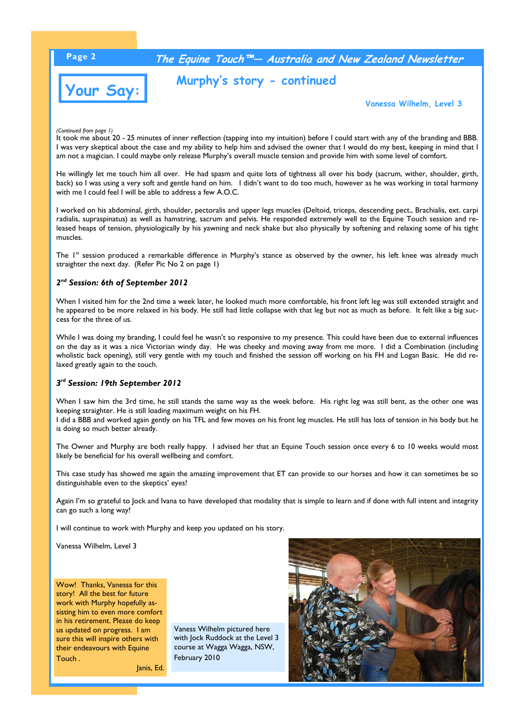# **Page 2 The Equine Touch™— Australia and New Zealand Newsletter**



# **Murphy's story - continued**

**Vanessa Wilhelm, Level 3**

*(Continued from page 1)* 

It took me about 20 - 25 minutes of inner reflection (tapping into my intuition) before I could start with any of the branding and BBB. I was very skeptical about the case and my ability to help him and advised the owner that I would do my best, keeping in mind that I am not a magician. I could maybe only release Murphy's overall muscle tension and provide him with some level of comfort.

He willingly let me touch him all over. He had spasm and quite lots of tightness all over his body (sacrum, wither, shoulder, girth, back) so I was using a very soft and gentle hand on him. I didn't want to do too much, however as he was working in total harmony with me I could feel I will be able to address a few A.O.C.

I worked on his abdominal, girth, shoulder, pectoralis and upper legs muscles (Deltoid, triceps, descending pect., Brachialis, ext. carpi radialis, supraspinatus) as well as hamstring, sacrum and pelvis. He responded extremely well to the Equine Touch session and released heaps of tension, physiologically by his yawning and neck shake but also physically by softening and relaxing some of his tight muscles.

The 1<sup>st</sup> session produced a remarkable difference in Murphy's stance as observed by the owner, his left knee was already much straighter the next day. (Refer Pic No 2 on page 1)

### *2nd Session: 6th of September 2012*

When I visited him for the 2nd time a week later, he looked much more comfortable, his front left leg was still extended straight and he appeared to be more relaxed in his body. He still had little collapse with that leg but not as much as before. It felt like a big success for the three of us.

While I was doing my branding, I could feel he wasn't so responsive to my presence. This could have been due to external influences on the day as it was a nice Victorian windy day. He was cheeky and moving away from me more. I did a Combination (including wholistic back opening), still very gentle with my touch and finished the session off working on his FH and Logan Basic. He did relaxed greatly again to the touch.

### *3rd Session: 19th September 2012*

When I saw him the 3rd time, he still stands the same way as the week before. His right leg was still bent, as the other one was keeping straighter. He is still loading maximum weight on his FH.

I did a BBB and worked again gently on his TFL and few moves on his front leg muscles. He still has lots of tension in his body but he is doing so much better already.

The Owner and Murphy are both really happy. I advised her that an Equine Touch session once every 6 to 10 weeks would most likely be beneficial for his overall wellbeing and comfort.

This case study has showed me again the amazing improvement that ET can provide to our horses and how it can sometimes be so distinguishable even to the skeptics' eyes!

Again I'm so grateful to Jock and Ivana to have developed that modality that is simple to learn and if done with full intent and integrity can go such a long way!

I will continue to work with Murphy and keep you updated on his story.

Janis, Ed.

Vanessa Wilhelm, Level 3

Wow! Thanks, Vanessa for this story! All the best for future work with Murphy hopefully assisting him to even more comfort in his retirement. Please do keep us updated on progress. I am sure this will inspire others with their endeavours with Equine Touch .

Vaness Wilhelm pictured here with Jock Ruddock at the Level 3 course at Wagga Wagga, NSW, February 2010

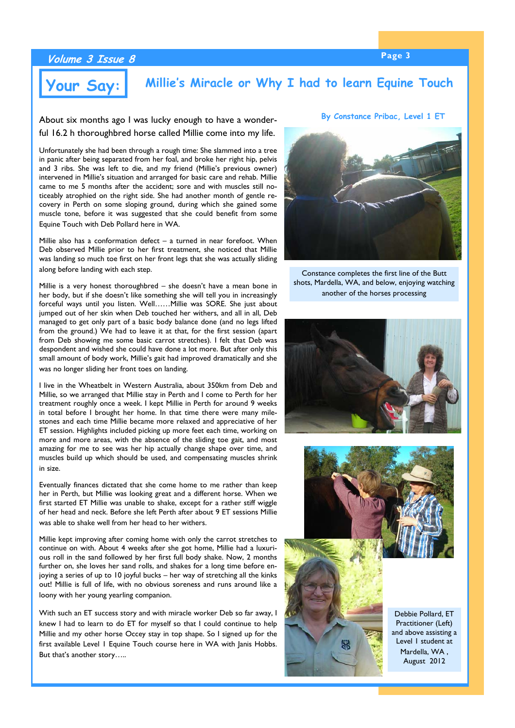**By Constance Pribac, Level 1 ET**

# **Page 3 Volume 3 Issue 8**

# **Your Say:** Millie's Miracle or Why I had to learn Equine Touch

About six months ago I was lucky enough to have a wonderful 16.2 h thoroughbred horse called Millie come into my life.

Unfortunately she had been through a rough time: She slammed into a tree in panic after being separated from her foal, and broke her right hip, pelvis and 3 ribs. She was left to die, and my friend (Millie's previous owner) intervened in Millie's situation and arranged for basic care and rehab. Millie came to me 5 months after the accident; sore and with muscles still noticeably atrophied on the right side. She had another month of gentle recovery in Perth on some sloping ground, during which she gained some muscle tone, before it was suggested that she could benefit from some Equine Touch with Deb Pollard here in WA.

Millie also has a conformation defect – a turned in near forefoot. When Deb observed Millie prior to her first treatment, she noticed that Millie was landing so much toe first on her front legs that she was actually sliding along before landing with each step.

Millie is a very honest thoroughbred – she doesn't have a mean bone in her body, but if she doesn't like something she will tell you in increasingly forceful ways until you listen. Well……Millie was SORE. She just about jumped out of her skin when Deb touched her withers, and all in all, Deb managed to get only part of a basic body balance done (and no legs lifted from the ground.) We had to leave it at that, for the first session (apart from Deb showing me some basic carrot stretches). I felt that Deb was despondent and wished she could have done a lot more. But after only this small amount of body work, Millie's gait had improved dramatically and she was no longer sliding her front toes on landing.

I live in the Wheatbelt in Western Australia, about 350km from Deb and Millie, so we arranged that Millie stay in Perth and I come to Perth for her treatment roughly once a week. I kept Millie in Perth for around 9 weeks in total before I brought her home. In that time there were many milestones and each time Millie became more relaxed and appreciative of her ET session. Highlights included picking up more feet each time, working on more and more areas, with the absence of the sliding toe gait, and most amazing for me to see was her hip actually change shape over time, and muscles build up which should be used, and compensating muscles shrink in size.

Eventually finances dictated that she come home to me rather than keep her in Perth, but Millie was looking great and a different horse. When we first started ET Millie was unable to shake, except for a rather stiff wiggle of her head and neck. Before she left Perth after about 9 ET sessions Millie was able to shake well from her head to her withers.

Millie kept improving after coming home with only the carrot stretches to continue on with. About 4 weeks after she got home, Millie had a luxurious roll in the sand followed by her first full body shake. Now, 2 months further on, she loves her sand rolls, and shakes for a long time before enjoying a series of up to 10 joyful bucks – her way of stretching all the kinks out! Millie is full of life, with no obvious soreness and runs around like a loony with her young yearling companion.

With such an ET success story and with miracle worker Deb so far away, I knew I had to learn to do ET for myself so that I could continue to help Millie and my other horse Occey stay in top shape. So I signed up for the first available Level 1 Equine Touch course here in WA with Janis Hobbs. But that's another story…..



Constance completes the first line of the Butt shots, Mardella, WA, and below, enjoying watching another of the horses processing





Practitioner (Left) and above assisting a Level 1 student at Mardella, WA , August 2012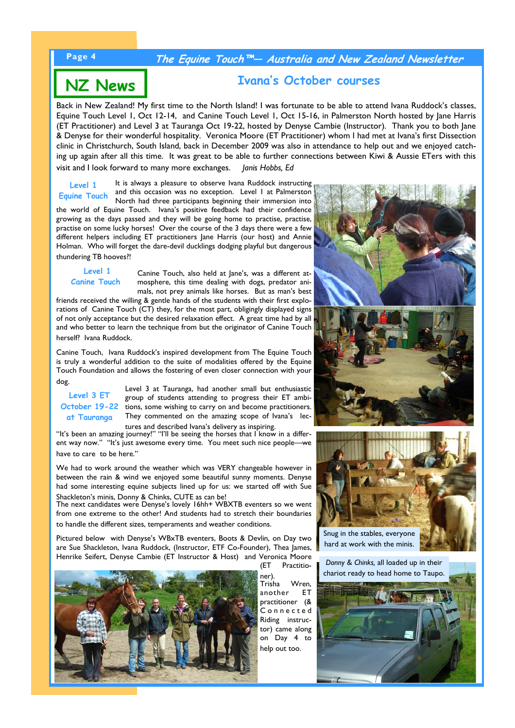# **Page 4 The Equine Touch™— Australia and New Zealand Newsletter**

# **Ivana's October courses NZ News**

Back in New Zealand! My first time to the North Island! I was fortunate to be able to attend Ivana Ruddock's classes, Equine Touch Level 1, Oct 12-14, and Canine Touch Level 1, Oct 15-16, in Palmerston North hosted by Jane Harris (ET Practitioner) and Level 3 at Tauranga Oct 19-22, hosted by Denyse Cambie (Instructor). Thank you to both Jane & Denyse for their wonderful hospitality. Veronica Moore (ET Practitioner) whom I had met at Ivana's first Dissection clinic in Christchurch, South Island, back in December 2009 was also in attendance to help out and we enjoyed catching up again after all this time. It was great to be able to further connections between Kiwi & Aussie ETers with this visit and I look forward to many more exchanges. *Janis Hobbs, Ed* 

It is always a pleasure to observe Ivana Ruddock instructing and this occasion was no exception. Level 1 at Palmerston North had three participants beginning their immersion into the world of Equine Touch. Ivana's positive feedback had their confidence growing as the days passed and they will be going home to practise, practise, practise on some lucky horses! Over the course of the 3 days there were a few different helpers including ET practitioners Jane Harris (our host) and Annie Holman. Who will forget the dare-devil ducklings dodging playful but dangerous thundering TB hooves?! **Level 1 Equine Touch** 

 **Level 1 Canine Touch** 

Canine Touch, also held at Jane's, was a different atmosphere, this time dealing with dogs, predator animals, not prey animals like horses. But as man's best

friends received the willing & gentle hands of the students with their first explorations of Canine Touch  $(CT)$  they, for the most part, obligingly displayed signs of not only acceptance but the desired relaxation effect. A great time had by all and who better to learn the technique from but the originator of Canine Touch herself? Ivana Ruddock.

Canine Touch, Ivana Ruddock's inspired development from The Equine Touch is truly a wonderful addition to the suite of modalities offered by the Equine Touch Foundation and allows the fostering of even closer connection with your dog.

**Level 3 ET at Tauranga**

Level 3 at Tauranga, had another small but enthusiastic group of students attending to progress their ET ambi-**October 19-22** tions, some wishing to carry on and become practitioners. They commented on the amazing scope of Ivana's lectures and described Ivana's delivery as inspiring.

"It's been an amazing journey!" "I'll be seeing the horses that I know in a different way now." "It's just awesome every time. You meet such nice people—we have to care to be here."

We had to work around the weather which was VERY changeable however in between the rain & wind we enjoyed some beautiful sunny moments. Denyse had some interesting equine subjects lined up for us: we started off with Sue Shackleton's minis, Donny & Chinks, CUTE as can be!

The next candidates were Denyse's lovely 16hh+ WBXTB eventers so we went from one extreme to the other! And students had to stretch their boundaries to handle the different sizes, temperaments and weather conditions.

Pictured below with Denyse's WBxTB eventers, Boots & Devlin, on Day two are Sue Shackleton, Ivana Ruddock, (Instructor, ETF Co-Founder), Thea James, Henrike Seifert, Denyse Cambie (ET Instructor & Host) and Veronica Moore (ET Practitio-



ner). Trisha Wren, another ET practitioner (& .<br>Connected Riding instructor) came along on Day 4 to help out too.





hard at work with the minis.

*Donny & Chinks,* all loaded up in their chariot ready to head home to Taupo.